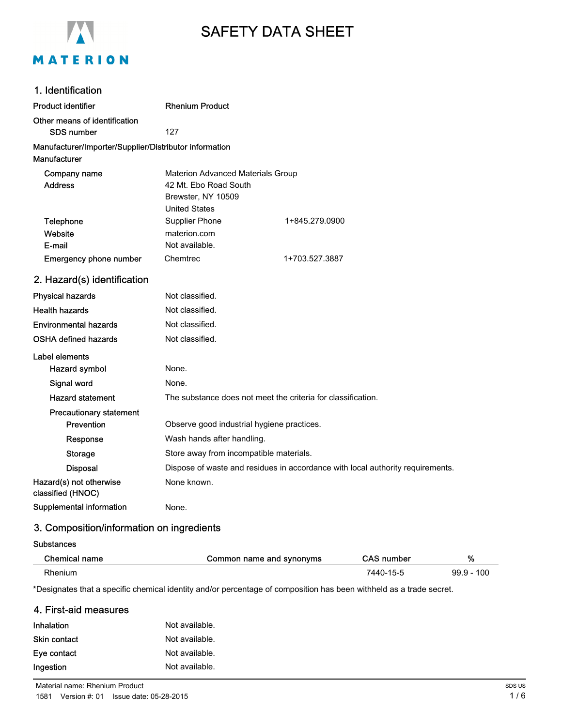

# SAFETY DATA SHEET

| 1. Identification                                                      |                                                                                                          |                |
|------------------------------------------------------------------------|----------------------------------------------------------------------------------------------------------|----------------|
| <b>Product identifier</b>                                              | <b>Rhenium Product</b>                                                                                   |                |
| Other means of identification<br>SDS number                            | 127                                                                                                      |                |
| Manufacturer/Importer/Supplier/Distributor information<br>Manufacturer |                                                                                                          |                |
| Company name<br><b>Address</b>                                         | Materion Advanced Materials Group<br>42 Mt. Ebo Road South<br>Brewster, NY 10509<br><b>United States</b> |                |
| Telephone<br>Website<br>E-mail                                         | Supplier Phone<br>materion.com<br>Not available.                                                         | 1+845.279.0900 |
| Emergency phone number                                                 | Chemtrec                                                                                                 | 1+703.527.3887 |
| 2. Hazard(s) identification                                            |                                                                                                          |                |
| <b>Physical hazards</b>                                                | Not classified.                                                                                          |                |
| <b>Health hazards</b>                                                  | Not classified.                                                                                          |                |
| <b>Environmental hazards</b>                                           | Not classified.                                                                                          |                |
| <b>OSHA defined hazards</b>                                            | Not classified.                                                                                          |                |
| Label elements<br>Hazard symbol                                        | None.                                                                                                    |                |
| Signal word                                                            | None.                                                                                                    |                |
| <b>Hazard statement</b>                                                | The substance does not meet the criteria for classification.                                             |                |
| <b>Precautionary statement</b><br>Prevention                           | Observe good industrial hygiene practices.                                                               |                |
| Response                                                               | Wash hands after handling.                                                                               |                |
| <b>Storage</b>                                                         | Store away from incompatible materials.                                                                  |                |
| <b>Disposal</b>                                                        | Dispose of waste and residues in accordance with local authority requirements.                           |                |
| Hazard(s) not otherwise<br>classified (HNOC)                           | None known.                                                                                              |                |
| Supplemental information                                               | None.                                                                                                    |                |

# 3. Composition/information on ingredients

#### **Substances**

| Chemical name | Common name and synonyms | CAS number | %               |
|---------------|--------------------------|------------|-----------------|
| Rhenium       |                          | 7440-15-5  | 100<br>$99.9 -$ |

\*Designates that a specific chemical identity and/or percentage of composition has been withheld as a trade secret.

#### 4. First-aid measures

| <b>Inhalation</b>   | Not available. |
|---------------------|----------------|
| <b>Skin contact</b> | Not available. |
| Eye contact         | Not available. |
| Ingestion           | Not available. |

Material name: Rhenium Product 1581 Version #: 01 Issue date: 05-28-2015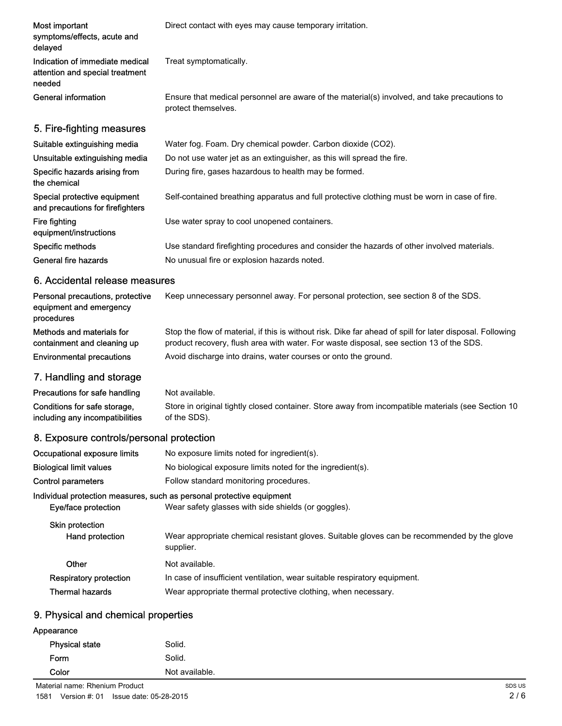| Most important<br>symptoms/effects, acute and<br>delayed                     | Direct contact with eyes may cause temporary irritation.                                                            |
|------------------------------------------------------------------------------|---------------------------------------------------------------------------------------------------------------------|
| Indication of immediate medical<br>attention and special treatment<br>needed | Treat symptomatically.                                                                                              |
| General information                                                          | Ensure that medical personnel are aware of the material(s) involved, and take precautions to<br>protect themselves. |
| 5. Fire-fighting measures                                                    |                                                                                                                     |
| Suitable extinguishing media                                                 | Water fog. Foam. Dry chemical powder. Carbon dioxide (CO2).                                                         |
| Unsuitable extinguishing media                                               | Do not use water jet as an extinguisher, as this will spread the fire.                                              |
| Specific hazards arising from<br>the chemical                                | During fire, gases hazardous to health may be formed.                                                               |
| Special protective equipment<br>and precautions for firefighters             | Self-contained breathing apparatus and full protective clothing must be worn in case of fire.                       |
| Fire fighting<br>equipment/instructions                                      | Use water spray to cool unopened containers.                                                                        |
| Specific methods                                                             | Use standard firefighting procedures and consider the hazards of other involved materials.                          |
| General fire hazards                                                         | No unusual fire or explosion hazards noted.                                                                         |

# 6. Accidental release measures

| Personal precautions, protective<br>equipment and emergency<br>procedures | Keep unnecessary personnel away. For personal protection, see section 8 of the SDS.                                                                                                                  |
|---------------------------------------------------------------------------|------------------------------------------------------------------------------------------------------------------------------------------------------------------------------------------------------|
| Methods and materials for<br>containment and cleaning up                  | Stop the flow of material, if this is without risk. Dike far ahead of spill for later disposal. Following<br>product recovery, flush area with water. For waste disposal, see section 13 of the SDS. |
| <b>Environmental precautions</b>                                          | Avoid discharge into drains, water courses or onto the ground.                                                                                                                                       |
|                                                                           |                                                                                                                                                                                                      |

#### 7. Handling and storage

Precautions for safe handling Not available. Store in original tightly closed container. Store away from incompatible materials (see Section 10 of the SDS). Conditions for safe storage, including any incompatibilities

## 8. Exposure controls/personal protection

| Occupational exposure limits              | No exposure limits noted for ingredient(s).                                                                                  |
|-------------------------------------------|------------------------------------------------------------------------------------------------------------------------------|
| <b>Biological limit values</b>            | No biological exposure limits noted for the ingredient(s).                                                                   |
| Control parameters                        | Follow standard monitoring procedures.                                                                                       |
| Eye/face protection                       | Individual protection measures, such as personal protective equipment<br>Wear safety glasses with side shields (or goggles). |
| <b>Skin protection</b><br>Hand protection | Wear appropriate chemical resistant gloves. Suitable gloves can be recommended by the glove<br>supplier.                     |
| Other                                     | Not available.                                                                                                               |
| Respiratory protection                    | In case of insufficient ventilation, wear suitable respiratory equipment.                                                    |
| <b>Thermal hazards</b>                    | Wear appropriate thermal protective clothing, when necessary.                                                                |
|                                           |                                                                                                                              |

## 9. Physical and chemical properties

| Appearance            |                |  |
|-----------------------|----------------|--|
| <b>Physical state</b> | Solid.         |  |
| Form                  | Solid.         |  |
| Color                 | Not available. |  |

Material name: Rhenium Product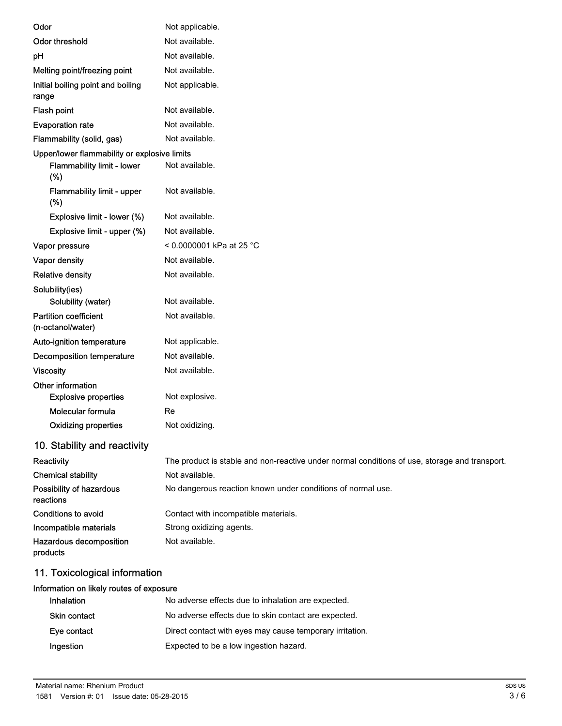| Odor                                              | Not applicable.                                                                               |
|---------------------------------------------------|-----------------------------------------------------------------------------------------------|
| <b>Odor threshold</b>                             | Not available.                                                                                |
| pH                                                | Not available.                                                                                |
| Melting point/freezing point                      | Not available.                                                                                |
| Initial boiling point and boiling<br>range        | Not applicable.                                                                               |
| Flash point                                       | Not available.                                                                                |
| <b>Evaporation rate</b>                           | Not available.                                                                                |
| Flammability (solid, gas)                         | Not available.                                                                                |
| Upper/lower flammability or explosive limits      |                                                                                               |
| <b>Flammability limit - lower</b><br>(%)          | Not available.                                                                                |
| <b>Flammability limit - upper</b><br>(%)          | Not available.                                                                                |
| Explosive limit - lower (%)                       | Not available.                                                                                |
| Explosive limit - upper (%)                       | Not available.                                                                                |
| Vapor pressure                                    | < 0.0000001 kPa at 25 °C                                                                      |
| Vapor density                                     | Not available.                                                                                |
| <b>Relative density</b>                           | Not available.                                                                                |
| Solubility(ies)                                   |                                                                                               |
| Solubility (water)                                | Not available.                                                                                |
| <b>Partition coefficient</b><br>(n-octanol/water) | Not available.                                                                                |
| Auto-ignition temperature                         | Not applicable.                                                                               |
| <b>Decomposition temperature</b>                  | Not available.                                                                                |
| <b>Viscosity</b>                                  | Not available.                                                                                |
| Other information                                 |                                                                                               |
| <b>Explosive properties</b>                       | Not explosive.                                                                                |
| Molecular formula                                 | Re                                                                                            |
| <b>Oxidizing properties</b>                       | Not oxidizing.                                                                                |
| 10. Stability and reactivity                      |                                                                                               |
| Reactivity                                        | The product is stable and non-reactive under normal conditions of use, storage and transport. |
| <b>Chemical stability</b>                         | Not available.                                                                                |
| Possibility of hazardous<br>reactions             | No dangerous reaction known under conditions of normal use.                                   |
| Conditions to avoid                               | Contact with incompatible materials.                                                          |
| Incompatible materials                            | Strong oxidizing agents.                                                                      |
| Hazardous decomposition<br>products               | Not available.                                                                                |
|                                                   |                                                                                               |

# 11. Toxicological information

| Information on likely routes of exposure |                                                          |
|------------------------------------------|----------------------------------------------------------|
| <b>Inhalation</b>                        | No adverse effects due to inhalation are expected.       |
| <b>Skin contact</b>                      | No adverse effects due to skin contact are expected.     |
| Eye contact                              | Direct contact with eyes may cause temporary irritation. |
| Ingestion                                | Expected to be a low ingestion hazard.                   |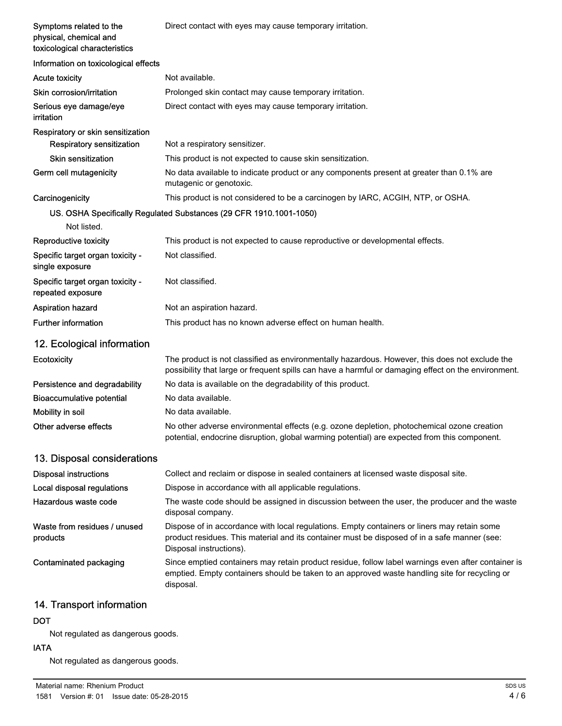| Symptoms related to the                                 | Direct contact with eyes may cause temporary irritation.                                                                                                                                                               |
|---------------------------------------------------------|------------------------------------------------------------------------------------------------------------------------------------------------------------------------------------------------------------------------|
| physical, chemical and<br>toxicological characteristics |                                                                                                                                                                                                                        |
| Information on toxicological effects                    |                                                                                                                                                                                                                        |
| <b>Acute toxicity</b>                                   | Not available.                                                                                                                                                                                                         |
| Skin corrosion/irritation                               | Prolonged skin contact may cause temporary irritation.                                                                                                                                                                 |
| Serious eye damage/eye<br>irritation                    | Direct contact with eyes may cause temporary irritation.                                                                                                                                                               |
| Respiratory or skin sensitization                       |                                                                                                                                                                                                                        |
| <b>Respiratory sensitization</b>                        | Not a respiratory sensitizer.                                                                                                                                                                                          |
| <b>Skin sensitization</b>                               | This product is not expected to cause skin sensitization.                                                                                                                                                              |
| Germ cell mutagenicity                                  | No data available to indicate product or any components present at greater than 0.1% are<br>mutagenic or genotoxic.                                                                                                    |
| Carcinogenicity                                         | This product is not considered to be a carcinogen by IARC, ACGIH, NTP, or OSHA.                                                                                                                                        |
|                                                         | US. OSHA Specifically Regulated Substances (29 CFR 1910.1001-1050)                                                                                                                                                     |
| Not listed.                                             |                                                                                                                                                                                                                        |
| Reproductive toxicity                                   | This product is not expected to cause reproductive or developmental effects.                                                                                                                                           |
| Specific target organ toxicity -<br>single exposure     | Not classified.                                                                                                                                                                                                        |
| Specific target organ toxicity -<br>repeated exposure   | Not classified.                                                                                                                                                                                                        |
| <b>Aspiration hazard</b>                                | Not an aspiration hazard.                                                                                                                                                                                              |
| <b>Further information</b>                              | This product has no known adverse effect on human health.                                                                                                                                                              |
| 12. Ecological information                              |                                                                                                                                                                                                                        |
| Ecotoxicity                                             | The product is not classified as environmentally hazardous. However, this does not exclude the<br>possibility that large or frequent spills can have a harmful or damaging effect on the environment.                  |
| Persistence and degradability                           | No data is available on the degradability of this product.                                                                                                                                                             |
| <b>Bioaccumulative potential</b>                        | No data available.                                                                                                                                                                                                     |
| Mobility in soil                                        | No data available.                                                                                                                                                                                                     |
| Other adverse effects                                   | No other adverse environmental effects (e.g. ozone depletion, photochemical ozone creation<br>potential, endocrine disruption, global warming potential) are expected from this component.                             |
| 13. Disposal considerations                             |                                                                                                                                                                                                                        |
| <b>Disposal instructions</b>                            | Collect and reclaim or dispose in sealed containers at licensed waste disposal site.                                                                                                                                   |
| Local disposal regulations                              | Dispose in accordance with all applicable regulations.                                                                                                                                                                 |
| Hazardous waste code                                    | The waste code should be assigned in discussion between the user, the producer and the waste<br>disposal company.                                                                                                      |
| Waste from residues / unused<br>products                | Dispose of in accordance with local regulations. Empty containers or liners may retain some<br>product residues. This material and its container must be disposed of in a safe manner (see:<br>Disposal instructions). |
| Contaminated packaging                                  | Since emptied containers may retain product residue, follow label warnings even after container is<br>emptied. Empty containers should be taken to an approved waste handling site for recycling or<br>disposal.       |

# 14. Transport information

## DOT

Not regulated as dangerous goods.

### IATA

Not regulated as dangerous goods.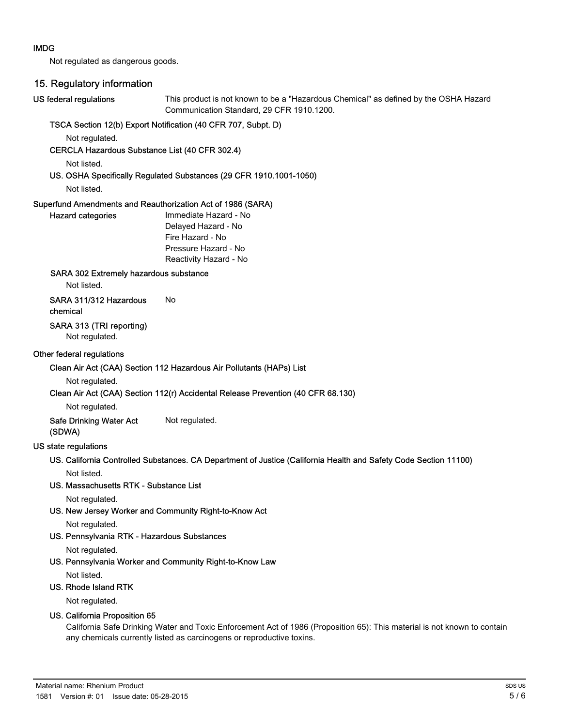#### IMDG

Not regulated as dangerous goods.

### 15. Regulatory information

#### US federal regulations

This product is not known to be a "Hazardous Chemical" as defined by the OSHA Hazard Communication Standard, 29 CFR 1910.1200.

#### TSCA Section 12(b) Export Notification (40 CFR 707, Subpt. D)

Not regulated.

CERCLA Hazardous Substance List (40 CFR 302.4)

Not listed.

#### US. OSHA Specifically Regulated Substances (29 CFR 1910.1001-1050)

Not listed.

#### Superfund Amendments and Reauthorization Act of 1986 (SARA)

| <b>Hazard categories</b> | Immediate Hazard - No  |
|--------------------------|------------------------|
|                          | Delayed Hazard - No    |
|                          | Fire Hazard - No       |
|                          | Pressure Hazard - No   |
|                          | Reactivity Hazard - No |
|                          |                        |

#### SARA 302 Extremely hazardous substance

Not listed.

# SARA 311/312 Hazardous No

#### chemical

SARA 313 (TRI reporting)

Not regulated.

#### Other federal regulations

#### Clean Air Act (CAA) Section 112 Hazardous Air Pollutants (HAPs) List

#### Not regulated.

#### Clean Air Act (CAA) Section 112(r) Accidental Release Prevention (40 CFR 68.130)

Not regulated.

Safe Drinking Water Act Not regulated. (SDWA)

#### US state regulations

US. California Controlled Substances. CA Department of Justice (California Health and Safety Code Section 11100) Not listed.

#### US. Massachusetts RTK - Substance List

Not regulated.

US. New Jersey Worker and Community Right-to-Know Act

Not regulated.

#### US. Pennsylvania RTK - Hazardous Substances

Not regulated.

US. Pennsylvania Worker and Community Right-to-Know Law

Not listed.

#### US. Rhode Island RTK

Not regulated.

#### US. California Proposition 65

California Safe Drinking Water and Toxic Enforcement Act of 1986 (Proposition 65): This material is not known to contain any chemicals currently listed as carcinogens or reproductive toxins.